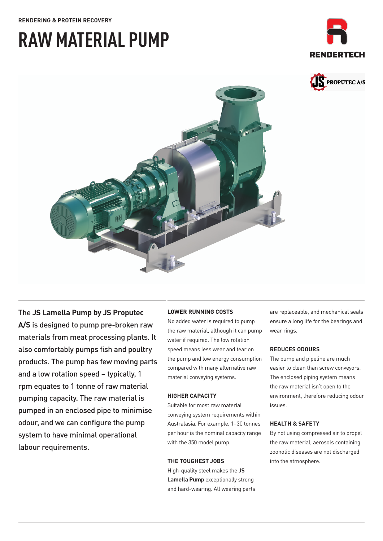#### **RENDERING & PROTEIN RECOVERY**

# **RAW MATERIAL PUMP**







## The **JS Lamella Pump by JS Proputec**

**A/S** is designed to pump pre-broken raw materials from meat processing plants. It also comfortably pumps fish and poultry products. The pump has few moving parts and a low rotation speed – typically, 1 rpm equates to 1 tonne of raw material pumping capacity. The raw material is pumped in an enclosed pipe to minimise odour, and we can configure the pump system to have minimal operational labour requirements.

#### **LOWER RUNNING COSTS**

No added water is required to pump the raw material, although it can pump water if required. The low rotation speed means less wear and tear on the pump and low energy consumption compared with many alternative raw material conveying systems.

#### **HIGHER CAPACITY**

Suitable for most raw material conveying system requirements within Australasia. For example, 1–30 tonnes per hour is the nominal capacity range with the 350 model pump.

#### **THE TOUGHEST JOBS**

High-quality steel makes the **JS Lamella Pump** exceptionally strong and hard-wearing. All wearing parts are replaceable, and mechanical seals ensure a long life for the bearings and wear rings.

#### **REDUCES ODOURS**

The pump and pipeline are much easier to clean than screw conveyors. The enclosed piping system means the raw material isn't open to the environment, therefore reducing odour issues.

#### **HEALTH & SAFETY**

By not using compressed air to propel the raw material, aerosols containing zoonotic diseases are not discharged into the atmosphere.